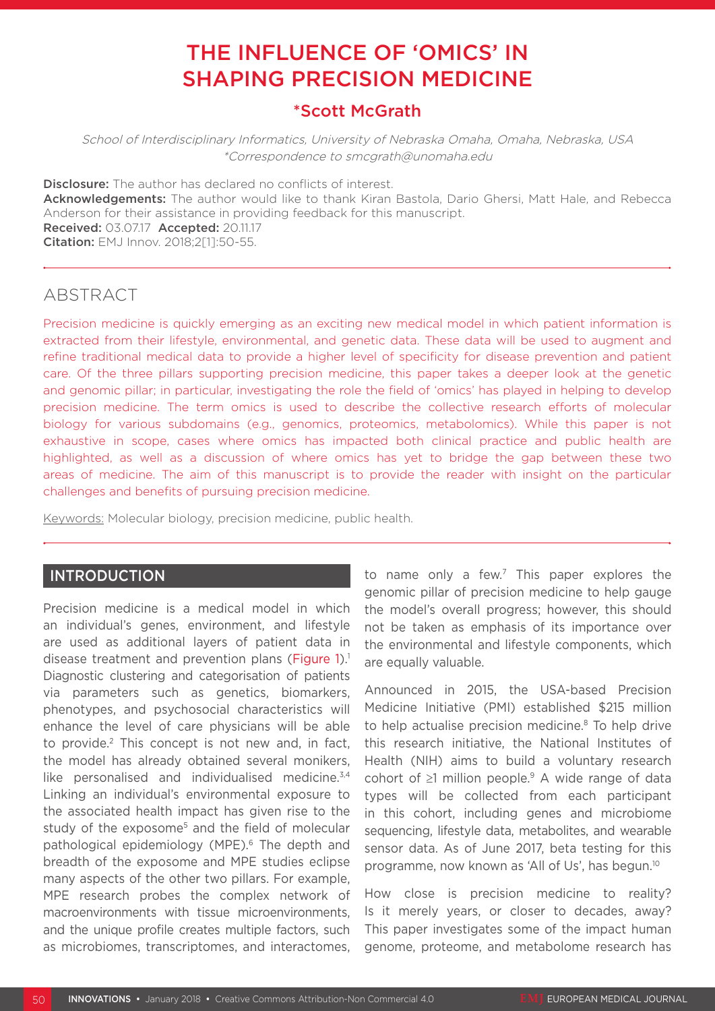# THE INFLUENCE OF 'OMICS' IN SHAPING PRECISION MEDICINE

## \*Scott McGrath

School of Interdisciplinary Informatics, University of Nebraska Omaha, Omaha, Nebraska, USA \*Correspondence to smcgrath@unomaha.edu

**Disclosure:** The author has declared no conflicts of interest.

Acknowledgements: The author would like to thank Kiran Bastola, Dario Ghersi, Matt Hale, and Rebecca Anderson for their assistance in providing feedback for this manuscript. Received: 03.07.17 Accepted: 20.11.17 **Citation:** EMJ Innov. 2018;2[1]:50-55.

## ABSTRACT

Precision medicine is quickly emerging as an exciting new medical model in which patient information is extracted from their lifestyle, environmental, and genetic data. These data will be used to augment and refine traditional medical data to provide a higher level of specificity for disease prevention and patient care. Of the three pillars supporting precision medicine, this paper takes a deeper look at the genetic and genomic pillar; in particular, investigating the role the field of 'omics' has played in helping to develop precision medicine. The term omics is used to describe the collective research efforts of molecular biology for various subdomains (e.g., genomics, proteomics, metabolomics). While this paper is not exhaustive in scope, cases where omics has impacted both clinical practice and public health are highlighted, as well as a discussion of where omics has yet to bridge the gap between these two areas of medicine. The aim of this manuscript is to provide the reader with insight on the particular challenges and benefits of pursuing precision medicine.

Keywords: Molecular biology, precision medicine, public health.

### INTRODUCTION

Precision medicine is a medical model in which an individual's genes, environment, and lifestyle are used as additional layers of patient data in disease treatment and prevention plans (Figure 1).<sup>1</sup> Diagnostic clustering and categorisation of patients via parameters such as genetics, biomarkers, phenotypes, and psychosocial characteristics will enhance the level of care physicians will be able to provide.<sup>2</sup> This concept is not new and, in fact, the model has already obtained several monikers, like personalised and individualised medicine. $3,4$ Linking an individual's environmental exposure to the associated health impact has given rise to the study of the exposome<sup>5</sup> and the field of molecular pathological epidemiology (MPE).6 The depth and breadth of the exposome and MPE studies eclipse many aspects of the other two pillars. For example, MPE research probes the complex network of macroenvironments with tissue microenvironments, and the unique profile creates multiple factors, such as microbiomes, transcriptomes, and interactomes,

to name only a few.7 This paper explores the genomic pillar of precision medicine to help gauge the model's overall progress; however, this should not be taken as emphasis of its importance over the environmental and lifestyle components, which are equally valuable.

Announced in 2015, the USA-based Precision Medicine Initiative (PMI) established \$215 million to help actualise precision medicine.<sup>8</sup> To help drive this research initiative, the National Institutes of Health (NIH) aims to build a voluntary research cohort of  $\geq$ 1 million people.<sup>9</sup> A wide range of data types will be collected from each participant in this cohort, including genes and microbiome sequencing, lifestyle data, metabolites, and wearable sensor data. As of June 2017, beta testing for this programme, now known as 'All of Us', has begun.10

How close is precision medicine to reality? Is it merely years, or closer to decades, away? This paper investigates some of the impact human genome, proteome, and metabolome research has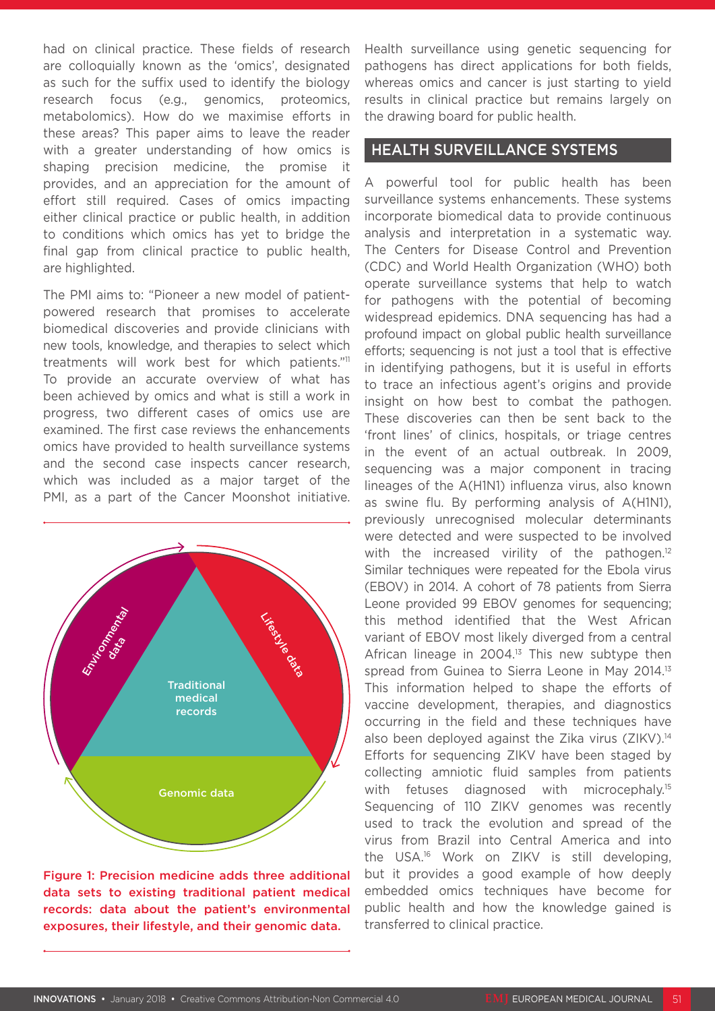had on clinical practice. These fields of research are colloquially known as the 'omics', designated as such for the suffix used to identify the biology research focus (e.g., genomics, proteomics, metabolomics). How do we maximise efforts in these areas? This paper aims to leave the reader with a greater understanding of how omics is shaping precision medicine, the promise it provides, and an appreciation for the amount of effort still required. Cases of omics impacting either clinical practice or public health, in addition to conditions which omics has yet to bridge the final gap from clinical practice to public health, are highlighted.

The PMI aims to: "Pioneer a new model of patientpowered research that promises to accelerate biomedical discoveries and provide clinicians with new tools, knowledge, and therapies to select which treatments will work best for which patients."11 To provide an accurate overview of what has been achieved by omics and what is still a work in progress, two different cases of omics use are examined. The first case reviews the enhancements omics have provided to health surveillance systems and the second case inspects cancer research, which was included as a major target of the PMI, as a part of the Cancer Moonshot initiative.



Figure 1: Precision medicine adds three additional data sets to existing traditional patient medical records: data about the patient's environmental exposures, their lifestyle, and their genomic data.

Health surveillance using genetic sequencing for pathogens has direct applications for both fields, whereas omics and cancer is just starting to yield results in clinical practice but remains largely on the drawing board for public health.

#### HEALTH SURVEILLANCE SYSTEMS

A powerful tool for public health has been surveillance systems enhancements. These systems incorporate biomedical data to provide continuous analysis and interpretation in a systematic way. The Centers for Disease Control and Prevention (CDC) and World Health Organization (WHO) both operate surveillance systems that help to watch for pathogens with the potential of becoming widespread epidemics. DNA sequencing has had a profound impact on global public health surveillance efforts; sequencing is not just a tool that is effective in identifying pathogens, but it is useful in efforts to trace an infectious agent's origins and provide insight on how best to combat the pathogen. These discoveries can then be sent back to the 'front lines' of clinics, hospitals, or triage centres in the event of an actual outbreak. In 2009, sequencing was a major component in tracing lineages of the A(H1N1) influenza virus, also known as swine flu. By performing analysis of A(H1N1), previously unrecognised molecular determinants were detected and were suspected to be involved with the increased virility of the pathogen. $12$ Similar techniques were repeated for the Ebola virus (EBOV) in 2014. A cohort of 78 patients from Sierra Leone provided 99 EBOV genomes for sequencing; this method identified that the West African variant of EBOV most likely diverged from a central African lineage in 2004.<sup>13</sup> This new subtype then spread from Guinea to Sierra Leone in May 2014.<sup>13</sup> This information helped to shape the efforts of vaccine development, therapies, and diagnostics occurring in the field and these techniques have also been deployed against the Zika virus (ZIKV).<sup>14</sup> Efforts for sequencing ZIKV have been staged by collecting amniotic fluid samples from patients with fetuses diagnosed with microcephaly.<sup>15</sup> Sequencing of 110 ZIKV genomes was recently used to track the evolution and spread of the virus from Brazil into Central America and into the USA.16 Work on ZIKV is still developing, but it provides a good example of how deeply embedded omics techniques have become for public health and how the knowledge gained is transferred to clinical practice.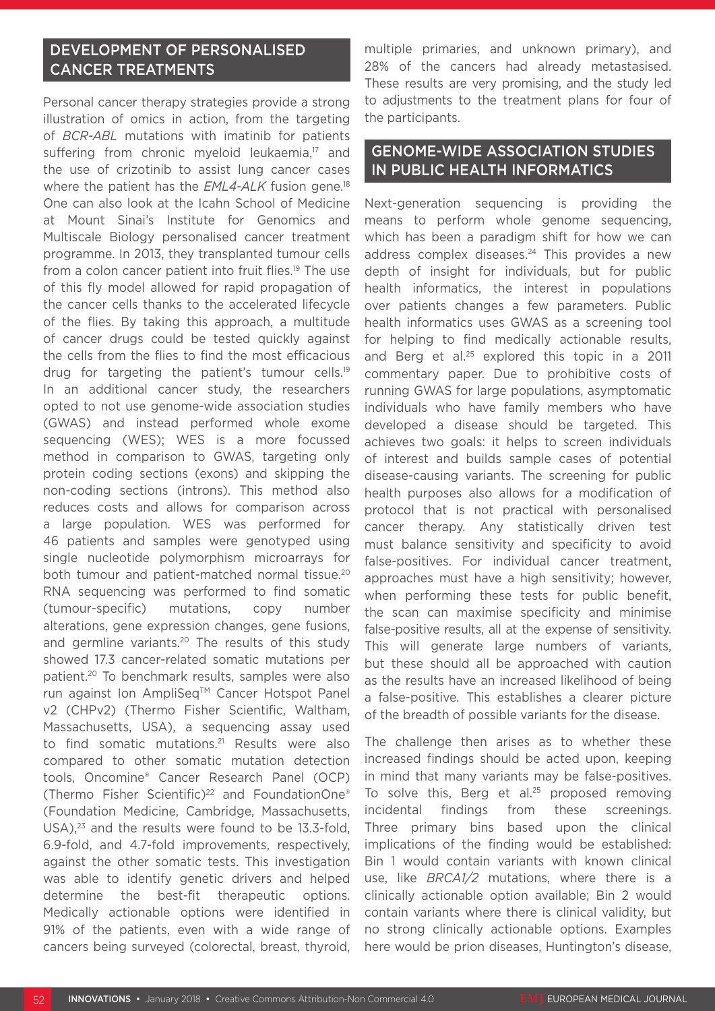## DEVELOPMENT OF PERSONALISED CANCER TREATMENTS

Personal cancer therapy strategies provide a strong illustration of omics in action, from the targeting of *BCR-ABL* mutations with imatinib for patients suffering from chronic myeloid leukaemia,<sup>17</sup> and the use of crizotinib to assist lung cancer cases where the patient has the *EML4-ALK* fusion gene.<sup>18</sup> One can also look at the Icahn School of Medicine at Mount Sinai's Institute for Genomics and Multiscale Biology personalised cancer treatment programme. In 2013, they transplanted tumour cells from a colon cancer patient into fruit flies.<sup>19</sup> The use of this fly model allowed for rapid propagation of the cancer cells thanks to the accelerated lifecycle of the flies. By taking this approach, a multitude of cancer drugs could be tested quickly against the cells from the flies to find the most efficacious drug for targeting the patient's tumour cells.19 In an additional cancer study, the researchers opted to not use genome-wide association studies (GWAS) and instead performed whole exome sequencing (WES); WES is a more focussed method in comparison to GWAS, targeting only protein coding sections (exons) and skipping the non-coding sections (introns). This method also reduces costs and allows for comparison across a large population. WES was performed for 46 patients and samples were genotyped using single nucleotide polymorphism microarrays for both tumour and patient-matched normal tissue.<sup>20</sup> RNA sequencing was performed to find somatic (tumour-specific) mutations, copy number alterations, gene expression changes, gene fusions, and germline variants.<sup>20</sup> The results of this study showed 17.3 cancer-related somatic mutations per patient.20 To benchmark results, samples were also run against Ion AmpliSeq™ Cancer Hotspot Panel v2 (CHPv2) (Thermo Fisher Scientific, Waltham, Massachusetts, USA), a sequencing assay used to find somatic mutations.<sup>21</sup> Results were also compared to other somatic mutation detection tools, Oncomine® Cancer Research Panel (OCP) (Thermo Fisher Scientific)22 and FoundationOne® (Foundation Medicine, Cambridge, Massachusetts, USA),<sup>23</sup> and the results were found to be 13.3-fold, 6.9-fold, and 4.7-fold improvements, respectively, against the other somatic tests. This investigation was able to identify genetic drivers and helped determine the best-fit therapeutic options. Medically actionable options were identified in 91% of the patients, even with a wide range of cancers being surveyed (colorectal, breast, thyroid,

multiple primaries, and unknown primary), and 28% of the cancers had already metastasised. These results are very promising, and the study led to adjustments to the treatment plans for four of the participants.

### GENOME-WIDE ASSOCIATION STUDIES IN PUBLIC HEALTH INFORMATICS

Next-generation sequencing is providing the means to perform whole genome sequencing, which has been a paradigm shift for how we can address complex diseases.<sup>24</sup> This provides a new depth of insight for individuals, but for public health informatics, the interest in populations over patients changes a few parameters. Public health informatics uses GWAS as a screening tool for helping to find medically actionable results, and Berg et al.25 explored this topic in a 2011 commentary paper. Due to prohibitive costs of running GWAS for large populations, asymptomatic individuals who have family members who have developed a disease should be targeted. This achieves two goals: it helps to screen individuals of interest and builds sample cases of potential disease-causing variants. The screening for public health purposes also allows for a modification of protocol that is not practical with personalised cancer therapy. Any statistically driven test must balance sensitivity and specificity to avoid false-positives. For individual cancer treatment, approaches must have a high sensitivity; however, when performing these tests for public benefit, the scan can maximise specificity and minimise false-positive results, all at the expense of sensitivity. This will generate large numbers of variants, but these should all be approached with caution as the results have an increased likelihood of being a false-positive. This establishes a clearer picture of the breadth of possible variants for the disease.

The challenge then arises as to whether these increased findings should be acted upon, keeping in mind that many variants may be false-positives. To solve this, Berg et al. $25$  proposed removing incidental findings from these screenings. Three primary bins based upon the clinical implications of the finding would be established: Bin 1 would contain variants with known clinical use, like *BRCA1/2* mutations, where there is a clinically actionable option available; Bin 2 would contain variants where there is clinical validity, but no strong clinically actionable options. Examples here would be prion diseases, Huntington's disease,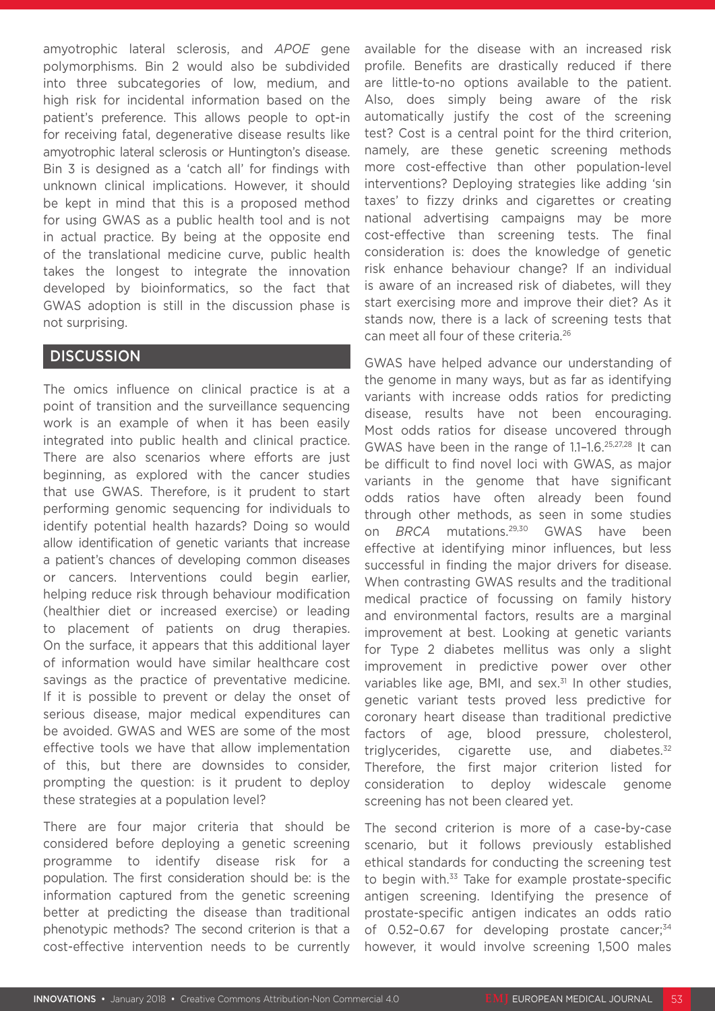amyotrophic lateral sclerosis, and *APOE* gene polymorphisms. Bin 2 would also be subdivided into three subcategories of low, medium, and high risk for incidental information based on the patient's preference. This allows people to opt-in for receiving fatal, degenerative disease results like amyotrophic lateral sclerosis or Huntington's disease. Bin 3 is designed as a 'catch all' for findings with unknown clinical implications. However, it should be kept in mind that this is a proposed method for using GWAS as a public health tool and is not in actual practice. By being at the opposite end of the translational medicine curve, public health takes the longest to integrate the innovation developed by bioinformatics, so the fact that GWAS adoption is still in the discussion phase is not surprising.

### **DISCUSSION**

The omics influence on clinical practice is at a point of transition and the surveillance sequencing work is an example of when it has been easily integrated into public health and clinical practice. There are also scenarios where efforts are just beginning, as explored with the cancer studies that use GWAS. Therefore, is it prudent to start performing genomic sequencing for individuals to identify potential health hazards? Doing so would allow identification of genetic variants that increase a patient's chances of developing common diseases or cancers. Interventions could begin earlier, helping reduce risk through behaviour modification (healthier diet or increased exercise) or leading to placement of patients on drug therapies. On the surface, it appears that this additional layer of information would have similar healthcare cost savings as the practice of preventative medicine. If it is possible to prevent or delay the onset of serious disease, major medical expenditures can be avoided. GWAS and WES are some of the most effective tools we have that allow implementation of this, but there are downsides to consider, prompting the question: is it prudent to deploy these strategies at a population level?

There are four major criteria that should be considered before deploying a genetic screening programme to identify disease risk for a population. The first consideration should be: is the information captured from the genetic screening better at predicting the disease than traditional phenotypic methods? The second criterion is that a cost-effective intervention needs to be currently available for the disease with an increased risk profile. Benefits are drastically reduced if there are little-to-no options available to the patient. Also, does simply being aware of the risk automatically justify the cost of the screening test? Cost is a central point for the third criterion, namely, are these genetic screening methods more cost-effective than other population-level interventions? Deploying strategies like adding 'sin taxes' to fizzy drinks and cigarettes or creating national advertising campaigns may be more cost-effective than screening tests. The final consideration is: does the knowledge of genetic risk enhance behaviour change? If an individual is aware of an increased risk of diabetes, will they start exercising more and improve their diet? As it stands now, there is a lack of screening tests that can meet all four of these criteria.26

GWAS have helped advance our understanding of the genome in many ways, but as far as identifying variants with increase odds ratios for predicting disease, results have not been encouraging. Most odds ratios for disease uncovered through GWAS have been in the range of 1.1–1.6.25,27,28 It can be difficult to find novel loci with GWAS, as major variants in the genome that have significant odds ratios have often already been found through other methods, as seen in some studies on *BRCA* mutations.29,30 GWAS have been effective at identifying minor influences, but less successful in finding the major drivers for disease. When contrasting GWAS results and the traditional medical practice of focussing on family history and environmental factors, results are a marginal improvement at best. Looking at genetic variants for Type 2 diabetes mellitus was only a slight improvement in predictive power over other variables like age, BMI, and sex.<sup>31</sup> In other studies, genetic variant tests proved less predictive for coronary heart disease than traditional predictive factors of age, blood pressure, cholesterol, triglycerides, cigarette use, and diabetes. $32$ Therefore, the first major criterion listed for consideration to deploy widescale genome screening has not been cleared yet.

The second criterion is more of a case-by-case scenario, but it follows previously established ethical standards for conducting the screening test to begin with.<sup>33</sup> Take for example prostate-specific antigen screening. Identifying the presence of prostate-specific antigen indicates an odds ratio of  $0.52$ -0.67 for developing prostate cancer; $34$ however, it would involve screening 1,500 males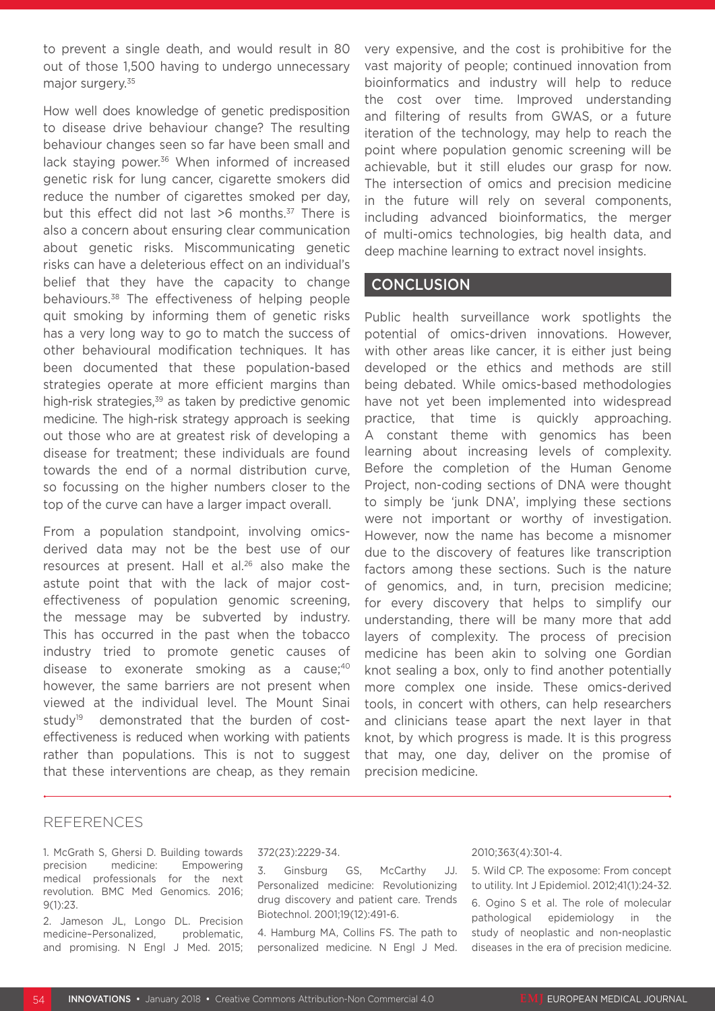to prevent a single death, and would result in 80 out of those 1,500 having to undergo unnecessary major surgery.<sup>35</sup>

How well does knowledge of genetic predisposition to disease drive behaviour change? The resulting behaviour changes seen so far have been small and lack staying power.<sup>36</sup> When informed of increased genetic risk for lung cancer, cigarette smokers did reduce the number of cigarettes smoked per day, but this effect did not last >6 months.<sup>37</sup> There is also a concern about ensuring clear communication about genetic risks. Miscommunicating genetic risks can have a deleterious effect on an individual's belief that they have the capacity to change behaviours.38 The effectiveness of helping people quit smoking by informing them of genetic risks has a very long way to go to match the success of other behavioural modification techniques. It has been documented that these population-based strategies operate at more efficient margins than high-risk strategies.<sup>39</sup> as taken by predictive genomic medicine. The high-risk strategy approach is seeking out those who are at greatest risk of developing a disease for treatment; these individuals are found towards the end of a normal distribution curve, so focussing on the higher numbers closer to the top of the curve can have a larger impact overall.

From a population standpoint, involving omicsderived data may not be the best use of our resources at present. Hall et al.<sup>26</sup> also make the astute point that with the lack of major costeffectiveness of population genomic screening, the message may be subverted by industry. This has occurred in the past when the tobacco industry tried to promote genetic causes of disease to exonerate smoking as a cause;<sup>40</sup> however, the same barriers are not present when viewed at the individual level. The Mount Sinai study<sup>19</sup> demonstrated that the burden of costeffectiveness is reduced when working with patients rather than populations. This is not to suggest that these interventions are cheap, as they remain

very expensive, and the cost is prohibitive for the vast majority of people; continued innovation from bioinformatics and industry will help to reduce the cost over time. Improved understanding and filtering of results from GWAS, or a future iteration of the technology, may help to reach the point where population genomic screening will be achievable, but it still eludes our grasp for now. The intersection of omics and precision medicine in the future will rely on several components, including advanced bioinformatics, the merger of multi-omics technologies, big health data, and deep machine learning to extract novel insights.

#### **CONCLUSION**

Public health surveillance work spotlights the potential of omics-driven innovations. However, with other areas like cancer, it is either just being developed or the ethics and methods are still being debated. While omics-based methodologies have not yet been implemented into widespread practice, that time is quickly approaching. A constant theme with genomics has been learning about increasing levels of complexity. Before the completion of the Human Genome Project, non-coding sections of DNA were thought to simply be 'junk DNA', implying these sections were not important or worthy of investigation. However, now the name has become a misnomer due to the discovery of features like transcription factors among these sections. Such is the nature of genomics, and, in turn, precision medicine; for every discovery that helps to simplify our understanding, there will be many more that add layers of complexity. The process of precision medicine has been akin to solving one Gordian knot sealing a box, only to find another potentially more complex one inside. These omics-derived tools, in concert with others, can help researchers and clinicians tease apart the next layer in that knot, by which progress is made. It is this progress that may, one day, deliver on the promise of precision medicine.

#### REFERENCES

1. McGrath S, Ghersi D. Building towards precision medicine: Empowering medical professionals for the next revolution. BMC Med Genomics. 2016; 9(1):23.

2. Jameson JL, Longo DL. Precision medicine-Personalized, problematic. and promising. N Engl J Med. 2015;

#### 372(23):2229-34.

3. Ginsburg GS, McCarthy JJ. Personalized medicine: Revolutionizing drug discovery and patient care. Trends Biotechnol. 2001;19(12):491-6.

4. Hamburg MA, Collins FS. The path to personalized medicine. N Engl J Med.

#### 2010;363(4):301-4.

5. Wild CP. The exposome: From concept to utility. Int J Epidemiol. 2012;41(1):24-32. 6. Ogino S et al. The role of molecular pathological epidemiology in the study of neoplastic and non-neoplastic diseases in the era of precision medicine.